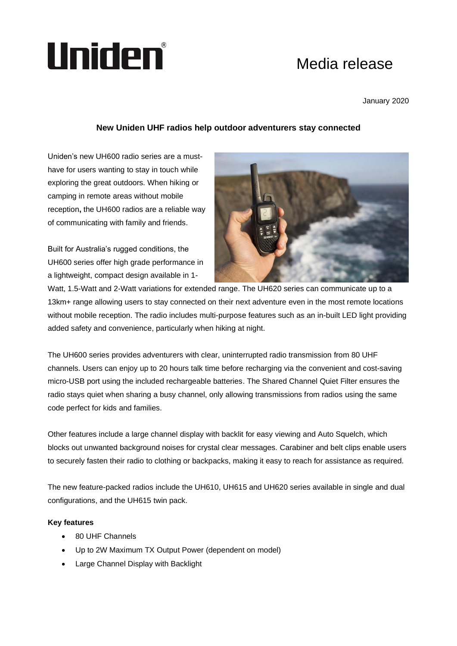## Uniden®

## Media release

January 2020

## **New Uniden UHF radios help outdoor adventurers stay connected**

Uniden's new UH600 radio series are a musthave for users wanting to stay in touch while exploring the great outdoors. When hiking or camping in remote areas without mobile reception**,** the UH600 radios are a reliable way of communicating with family and friends.

Built for Australia's rugged conditions, the UH600 series offer high grade performance in a lightweight, compact design available in 1-



Watt, 1.5-Watt and 2-Watt variations for extended range. The UH620 series can communicate up to a 13km+ range allowing users to stay connected on their next adventure even in the most remote locations without mobile reception. The radio includes multi-purpose features such as an in-built LED light providing added safety and convenience, particularly when hiking at night.

The UH600 series provides adventurers with clear, uninterrupted radio transmission from 80 UHF channels. Users can enjoy up to 20 hours talk time before recharging via the convenient and cost-saving micro-USB port using the included rechargeable batteries. The Shared Channel Quiet Filter ensures the radio stays quiet when sharing a busy channel, only allowing transmissions from radios using the same code perfect for kids and families.

Other features include a large channel display with backlit for easy viewing and Auto Squelch, which blocks out unwanted background noises for crystal clear messages. Carabiner and belt clips enable users to securely fasten their radio to clothing or backpacks, making it easy to reach for assistance as required.

The new feature-packed radios include the UH610, UH615 and UH620 series available in single and dual configurations, and the UH615 twin pack.

## **Key features**

- 80 UHF Channels
- Up to 2W Maximum TX Output Power (dependent on model)
- Large Channel Display with Backlight